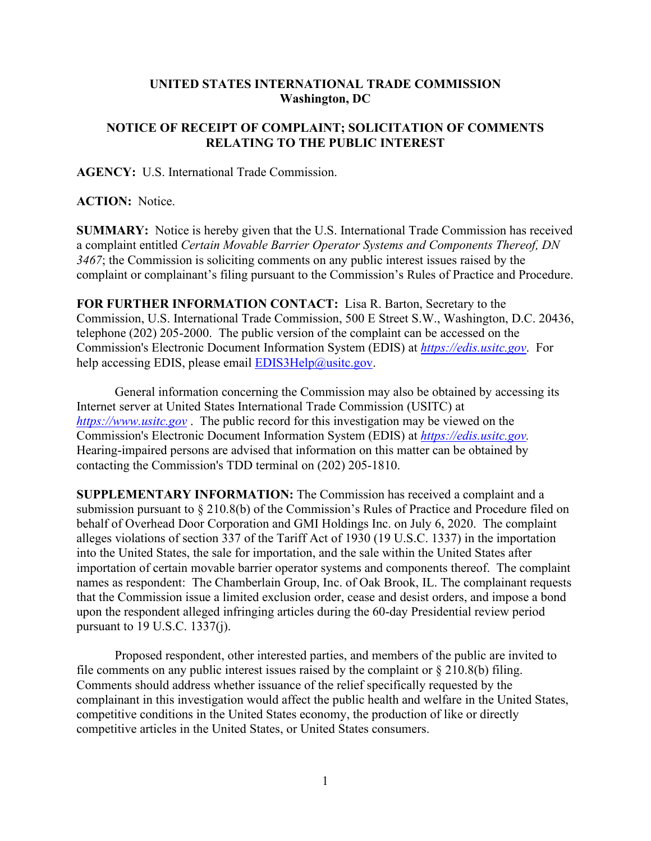## **UNITED STATES INTERNATIONAL TRADE COMMISSION Washington, DC**

## **NOTICE OF RECEIPT OF COMPLAINT; SOLICITATION OF COMMENTS RELATING TO THE PUBLIC INTEREST**

**AGENCY:** U.S. International Trade Commission.

**ACTION:** Notice.

**SUMMARY:** Notice is hereby given that the U.S. International Trade Commission has received a complaint entitled *Certain Movable Barrier Operator Systems and Components Thereof, DN 3467*; the Commission is soliciting comments on any public interest issues raised by the complaint or complainant's filing pursuant to the Commission's Rules of Practice and Procedure.

**FOR FURTHER INFORMATION CONTACT:** Lisa R. Barton, Secretary to the Commission, U.S. International Trade Commission, 500 E Street S.W., Washington, D.C. 20436, telephone (202) 205-2000. The public version of the complaint can be accessed on the Commission's Electronic Document Information System (EDIS) at *[https://edis.usitc.gov](https://edis.usitc.gov/)*. For help accessing EDIS, please email [EDIS3Help@usitc.gov.](mailto:EDIS3Help@usitc.gov)

General information concerning the Commission may also be obtained by accessing its Internet server at United States International Trade Commission (USITC) at *[https://www.usitc.gov](https://www.usitc.gov/)* . The public record for this investigation may be viewed on the Commission's Electronic Document Information System (EDIS) at *[https://edis.usitc.gov.](https://edis.usitc.gov/)* Hearing-impaired persons are advised that information on this matter can be obtained by contacting the Commission's TDD terminal on (202) 205-1810.

**SUPPLEMENTARY INFORMATION:** The Commission has received a complaint and a submission pursuant to § 210.8(b) of the Commission's Rules of Practice and Procedure filed on behalf of Overhead Door Corporation and GMI Holdings Inc. on July 6, 2020. The complaint alleges violations of section 337 of the Tariff Act of 1930 (19 U.S.C. 1337) in the importation into the United States, the sale for importation, and the sale within the United States after importation of certain movable barrier operator systems and components thereof. The complaint names as respondent: The Chamberlain Group, Inc. of Oak Brook, IL. The complainant requests that the Commission issue a limited exclusion order, cease and desist orders, and impose a bond upon the respondent alleged infringing articles during the 60-day Presidential review period pursuant to 19 U.S.C. 1337(j).

Proposed respondent, other interested parties, and members of the public are invited to file comments on any public interest issues raised by the complaint or  $\S 210.8(b)$  filing. Comments should address whether issuance of the relief specifically requested by the complainant in this investigation would affect the public health and welfare in the United States, competitive conditions in the United States economy, the production of like or directly competitive articles in the United States, or United States consumers.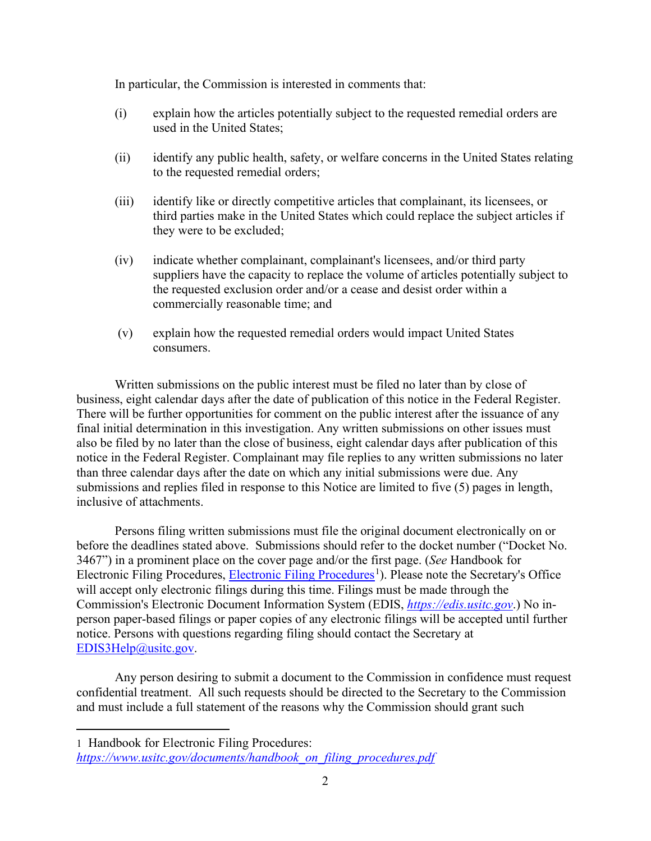In particular, the Commission is interested in comments that:

- (i) explain how the articles potentially subject to the requested remedial orders are used in the United States;
- (ii) identify any public health, safety, or welfare concerns in the United States relating to the requested remedial orders;
- (iii) identify like or directly competitive articles that complainant, its licensees, or third parties make in the United States which could replace the subject articles if they were to be excluded;
- (iv) indicate whether complainant, complainant's licensees, and/or third party suppliers have the capacity to replace the volume of articles potentially subject to the requested exclusion order and/or a cease and desist order within a commercially reasonable time; and
- (v) explain how the requested remedial orders would impact United States consumers.

Written submissions on the public interest must be filed no later than by close of business, eight calendar days after the date of publication of this notice in the Federal Register. There will be further opportunities for comment on the public interest after the issuance of any final initial determination in this investigation. Any written submissions on other issues must also be filed by no later than the close of business, eight calendar days after publication of this notice in the Federal Register. Complainant may file replies to any written submissions no later than three calendar days after the date on which any initial submissions were due. Any submissions and replies filed in response to this Notice are limited to five (5) pages in length, inclusive of attachments.

Persons filing written submissions must file the original document electronically on or before the deadlines stated above. Submissions should refer to the docket number ("Docket No. 3467") in a prominent place on the cover page and/or the first page. (*See* Handbook for Electronic Filing Procedures, [Electronic Filing Procedures](https://www.usitc.gov/documents/handbook_on_filing_procedures.pdf)<sup>[1](#page-1-0)</sup>). Please note the Secretary's Office will accept only electronic filings during this time. Filings must be made through the Commission's Electronic Document Information System (EDIS, *[https://edis.usitc.gov](https://edis.usitc.gov/)*.) No inperson paper-based filings or paper copies of any electronic filings will be accepted until further notice. Persons with questions regarding filing should contact the Secretary at [EDIS3Help@usitc.gov.](mailto:EDIS3Help@usitc.gov)

Any person desiring to submit a document to the Commission in confidence must request confidential treatment. All such requests should be directed to the Secretary to the Commission and must include a full statement of the reasons why the Commission should grant such

<span id="page-1-0"></span><sup>1</sup> Handbook for Electronic Filing Procedures:

*[https://www.usitc.gov/documents/handbook\\_on\\_filing\\_procedures.pdf](https://www.usitc.gov/documents/handbook_on_filing_procedures.pdf)*